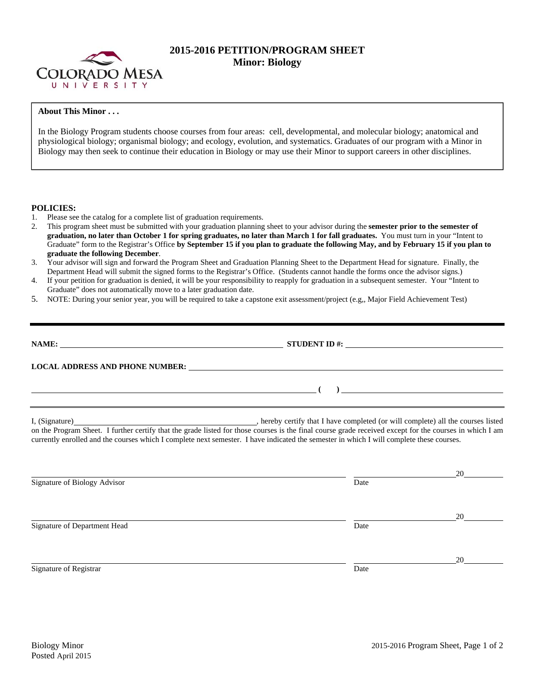

# **2015-2016 PETITION/PROGRAM SHEET Minor: Biology**

## **About This Minor . . .**

In the Biology Program students choose courses from four areas: cell, developmental, and molecular biology; anatomical and physiological biology; organismal biology; and ecology, evolution, and systematics. Graduates of our program with a Minor in Biology may then seek to continue their education in Biology or may use their Minor to support careers in other disciplines.

### **POLICIES:**

- 1. Please see the catalog for a complete list of graduation requirements.
- 2. This program sheet must be submitted with your graduation planning sheet to your advisor during the **semester prior to the semester of graduation, no later than October 1 for spring graduates, no later than March 1 for fall graduates.** You must turn in your "Intent to Graduate" form to the Registrar's Office **by September 15 if you plan to graduate the following May, and by February 15 if you plan to graduate the following December**.
- 3. Your advisor will sign and forward the Program Sheet and Graduation Planning Sheet to the Department Head for signature. Finally, the Department Head will submit the signed forms to the Registrar's Office. (Students cannot handle the forms once the advisor signs.)
- 4. If your petition for graduation is denied, it will be your responsibility to reapply for graduation in a subsequent semester. Your "Intent to Graduate" does not automatically move to a later graduation date.
- 5. NOTE: During your senior year, you will be required to take a capstone exit assessment/project (e.g,, Major Field Achievement Test)

| STUDENT ID #: $\qquad \qquad$                                                                                                                                                                                                                                                                                                                                                                                       |
|---------------------------------------------------------------------------------------------------------------------------------------------------------------------------------------------------------------------------------------------------------------------------------------------------------------------------------------------------------------------------------------------------------------------|
| LOCAL ADDRESS AND PHONE NUMBER: Under the contract of the contract of the contract of the contract of the contract of the contract of the contract of the contract of the contract of the contract of the contract of the cont                                                                                                                                                                                      |
| $\overline{\phantom{a}}$ (b) $\overline{\phantom{a}}$ (c) $\overline{\phantom{a}}$ (c) $\overline{\phantom{a}}$ (c) $\overline{\phantom{a}}$ (c) $\overline{\phantom{a}}$ (c) $\overline{\phantom{a}}$ (c) $\overline{\phantom{a}}$ (c) $\overline{\phantom{a}}$ (c) $\overline{\phantom{a}}$ (c) $\overline{\phantom{a}}$ (c) $\overline{\phantom{a}}$ (c) $\overline{\phantom{a}}$ (c) $\overline{\phantom{a}}$ ( |
| on the Program Sheet. I further certify that the grade listed for those courses is the final course grade received except for the courses in which I am<br>currently enrolled and the courses which I complete next semester. I have indicated the semester in which I will complete these courses.                                                                                                                 |

|                              |      | 20 |
|------------------------------|------|----|
| Signature of Biology Advisor | Date |    |
|                              |      |    |
|                              |      | 20 |
| Signature of Department Head | Date |    |
|                              |      |    |
|                              |      | 20 |
| Signature of Registrar       | Date |    |
|                              |      |    |